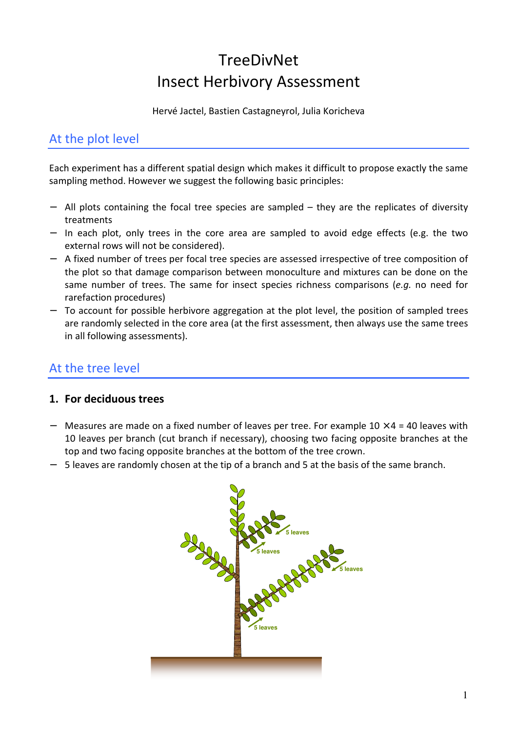# **TreeDivNet** Insect Herbivory Assessment

Hervé Jactel, Bastien Castagneyrol, Julia Koricheva

## At the plot level

Each experiment has a different spatial design which makes it difficult to propose exactly the same sampling method. However we suggest the following basic principles:

- − All plots containing the focal tree species are sampled they are the replicates of diversity treatments
- − In each plot, only trees in the core area are sampled to avoid edge effects (e.g. the two external rows will not be considered).
- − A fixed number of trees per focal tree species are assessed irrespective of tree composition of the plot so that damage comparison between monoculture and mixtures can be done on the same number of trees. The same for insect species richness comparisons (*e.g.* no need for rarefaction procedures)
- − To account for possible herbivore aggregation at the plot level, the position of sampled trees are randomly selected in the core area (at the first assessment, then always use the same trees in all following assessments).

## At the tree level

#### **1. For deciduous trees**

- − Measures are made on a fixed number of leaves per tree. For example 10 × 4 = 40 leaves with 10 leaves per branch (cut branch if necessary), choosing two facing opposite branches at the top and two facing opposite branches at the bottom of the tree crown.
- − 5 leaves are randomly chosen at the tip of a branch and 5 at the basis of the same branch.

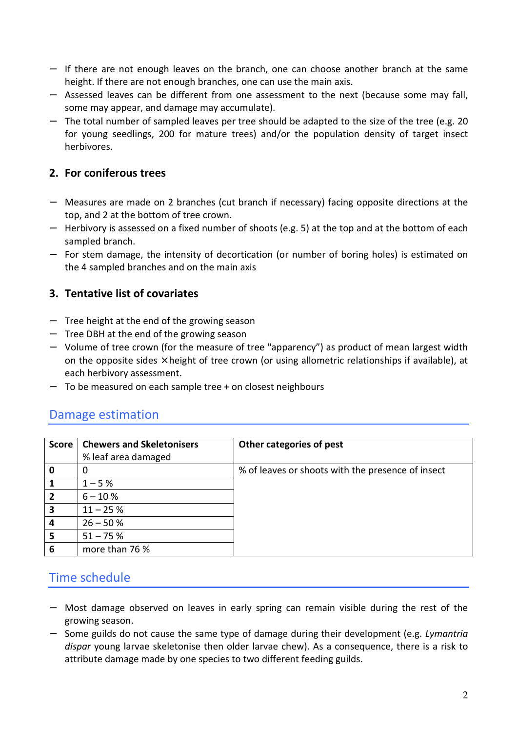- − If there are not enough leaves on the branch, one can choose another branch at the same height. If there are not enough branches, one can use the main axis.
- − Assessed leaves can be different from one assessment to the next (because some may fall, some may appear, and damage may accumulate).
- − The total number of sampled leaves per tree should be adapted to the size of the tree (e.g. 20 for young seedlings, 200 for mature trees) and/or the population density of target insect herbivores.

#### **2. For coniferous trees**

- − Measures are made on 2 branches (cut branch if necessary) facing opposite directions at the top, and 2 at the bottom of tree crown.
- − Herbivory is assessed on a fixed number of shoots (e.g. 5) at the top and at the bottom of each sampled branch.
- − For stem damage, the intensity of decortication (or number of boring holes) is estimated on the 4 sampled branches and on the main axis

#### **3. Tentative list of covariates**

- − Tree height at the end of the growing season
- − Tree DBH at the end of the growing season
- − Volume of tree crown (for the measure of tree "apparency") as product of mean largest width on the opposite sides  $\times$  height of tree crown (or using allometric relationships if available), at each herbivory assessment.
- − To be measured on each sample tree + on closest neighbours

#### Damage estimation

| <b>Score</b> | <b>Chewers and Skeletonisers</b><br>% leaf area damaged | Other categories of pest                          |
|--------------|---------------------------------------------------------|---------------------------------------------------|
| 0            |                                                         | % of leaves or shoots with the presence of insect |
|              | $1 - 5%$                                                |                                                   |
|              | $6 - 10%$                                               |                                                   |
| 3            | $11 - 25%$                                              |                                                   |
|              | $26 - 50%$                                              |                                                   |
| 5            | $51 - 75%$                                              |                                                   |
| 6            | more than 76 %                                          |                                                   |

### Time schedule

- − Most damage observed on leaves in early spring can remain visible during the rest of the growing season.
- − Some guilds do not cause the same type of damage during their development (e.g. *Lymantria dispar* young larvae skeletonise then older larvae chew). As a consequence, there is a risk to attribute damage made by one species to two different feeding guilds.